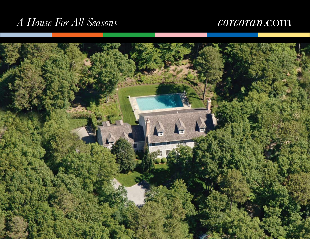# *A House For All Seasons*

## corcoran.com